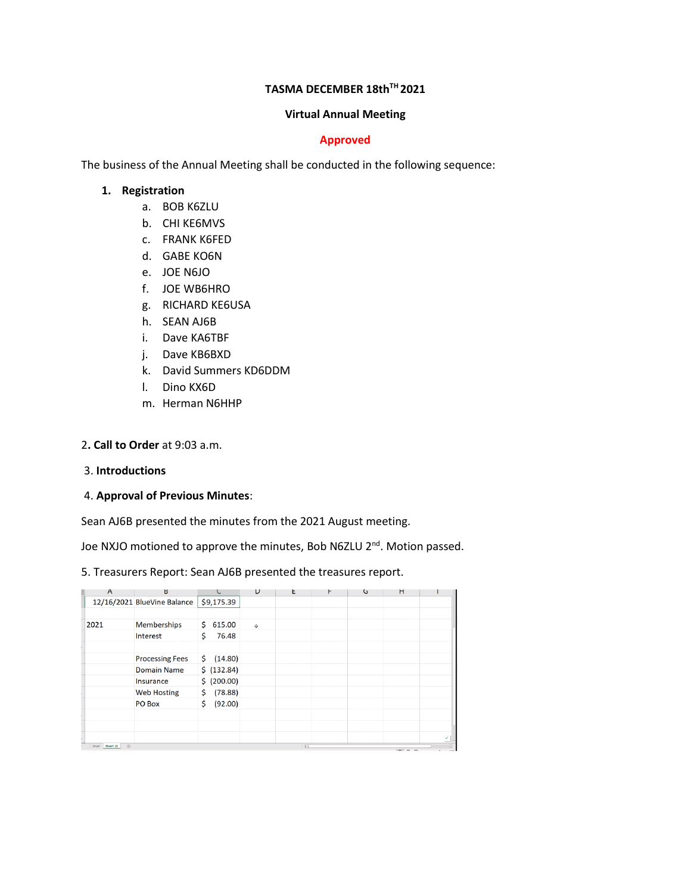## **TASMA DECEMBER 18thTH 2021**

#### **Virtual Annual Meeting**

## **Approved**

The business of the Annual Meeting shall be conducted in the following sequence:

#### **1. Registration**

- a. BOB K6ZLU
- b. CHI KE6MVS
- c. FRANK K6FED
- d. GABE KO6N
- e. JOE N6JO
- f. JOE WB6HRO
- g. RICHARD KE6USA
- h. SEAN AJ6B
- i. Dave KA6TBF
- j. Dave KB6BXD
- k. David Summers KD6DDM
- l. Dino KX6D
- m. Herman N6HHP

#### 2**. Call to Order** at 9:03 a.m.

#### 3. **Introductions**

## 4. **Approval of Previous Minutes**:

Sean AJ6B presented the minutes from the 2021 August meeting.

Joe NXJO motioned to approve the minutes, Bob N6ZLU 2<sup>nd</sup>. Motion passed.

## 5. Treasurers Report: Sean AJ6B presented the treasures report.

| $\overline{A}$                                    | ь                           |               | υ                 | t.            | ۲ | G | н            |  |
|---------------------------------------------------|-----------------------------|---------------|-------------------|---------------|---|---|--------------|--|
|                                                   | 12/16/2021 BlueVine Balance | \$9,175.39    |                   |               |   |   |              |  |
|                                                   |                             |               |                   |               |   |   |              |  |
| 2021                                              | Memberships                 | Ś.<br>615.00  | $\ddot{\text{o}}$ |               |   |   |              |  |
|                                                   | Interest                    | 76.48<br>\$   |                   |               |   |   |              |  |
|                                                   |                             |               |                   |               |   |   |              |  |
|                                                   | <b>Processing Fees</b>      | \$<br>(14.80) |                   |               |   |   |              |  |
|                                                   | <b>Domain Name</b>          | \$ (132.84)   |                   |               |   |   |              |  |
|                                                   | Insurance                   | \$ (200.00)   |                   |               |   |   |              |  |
|                                                   | <b>Web Hosting</b>          | \$<br>(78.88) |                   |               |   |   |              |  |
|                                                   | PO Box                      | \$<br>(92.00) |                   |               |   |   |              |  |
|                                                   |                             |               |                   |               |   |   |              |  |
|                                                   |                             |               |                   |               |   |   |              |  |
|                                                   |                             |               |                   |               |   |   |              |  |
| $\left( \overline{+}\right)$<br>Sheet1 Sheet1 (2) |                             |               |                   | $\frac{1}{2}$ |   |   | and one area |  |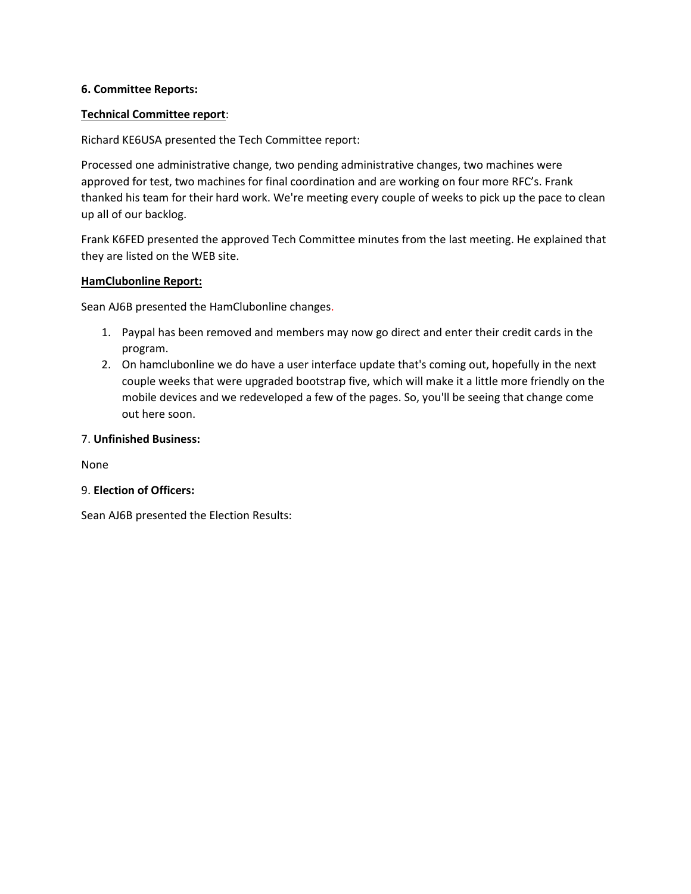## **6. Committee Reports:**

## **Technical Committee report**:

Richard KE6USA presented the Tech Committee report:

Processed one administrative change, two pending administrative changes, two machines were approved for test, two machines for final coordination and are working on four more RFC's. Frank thanked his team for their hard work. We're meeting every couple of weeks to pick up the pace to clean up all of our backlog.

Frank K6FED presented the approved Tech Committee minutes from the last meeting. He explained that they are listed on the WEB site.

## **HamClubonline Report:**

Sean AJ6B presented the HamClubonline changes.

- 1. Paypal has been removed and members may now go direct and enter their credit cards in the program.
- 2. On hamclubonline we do have a user interface update that's coming out, hopefully in the next couple weeks that were upgraded bootstrap five, which will make it a little more friendly on the mobile devices and we redeveloped a few of the pages. So, you'll be seeing that change come out here soon.

## 7. **Unfinished Business:**

None

## 9. **Election of Officers:**

Sean AJ6B presented the Election Results: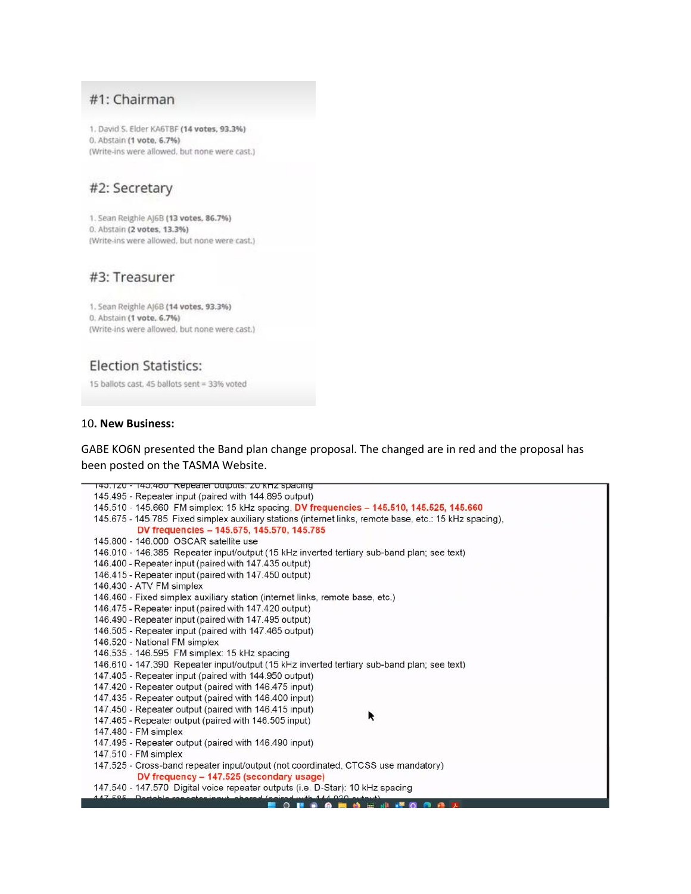## #1: Chairman

1. David S. Elder KA6TBF (14 votes, 93.3%) 0. Abstain (1 vote, 6.7%) (Write-ins were allowed, but none were cast.)

# #2: Secretary

1. Sean Reighle AJ6B (13 votes, 86.7%) 0. Abstain (2 votes, 13.3%) (Write-ins were allowed, but none were cast.)

## #3: Treasurer

1. Sean Reighle AJ6B (14 votes, 93.3%) 0. Abstain (1 vote, 6.7%) (Write-ins were allowed, but none were cast.)

# **Election Statistics:**

15 ballots cast, 45 ballots sent = 33% voted

#### 10. New Business:

GABE KO6N presented the Band plan change proposal. The changed are in red and the proposal has been posted on the TASMA Website.